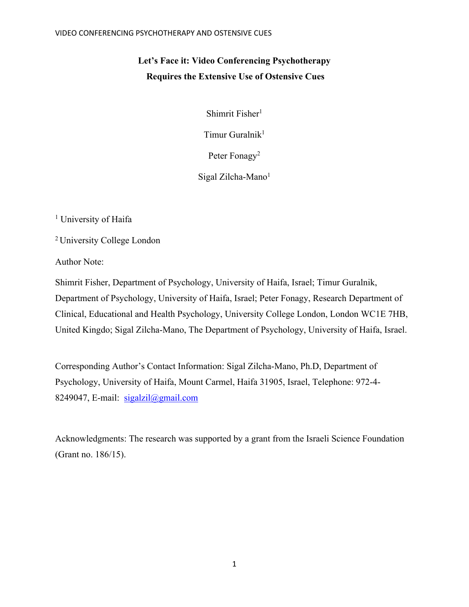# **Let's Face it: Video Conferencing Psychotherapy Requires the Extensive Use of Ostensive Cues**

Shimrit Fisher<sup>1</sup>

Timur Guralnik<sup>1</sup>

Peter Fonagy<sup>2</sup>

Sigal Zilcha-Mano<sup>1</sup>

<sup>1</sup> University of Haifa

2 University College London

Author Note:

Shimrit Fisher, Department of Psychology, University of Haifa, Israel; Timur Guralnik, Department of Psychology, University of Haifa, Israel; Peter Fonagy, Research Department of Clinical, Educational and Health Psychology, University College London, London WC1E 7HB, United Kingdo; Sigal Zilcha-Mano, The Department of Psychology, University of Haifa, Israel.

Corresponding Author's Contact Information: Sigal Zilcha-Mano, Ph.D, Department of Psychology, University of Haifa, Mount Carmel, Haifa 31905, Israel, Telephone: 972-4- 8249047, E-mail:  $sigalzil@gmail.com$ 

Acknowledgments: The research was supported by a grant from the Israeli Science Foundation (Grant no. 186/15).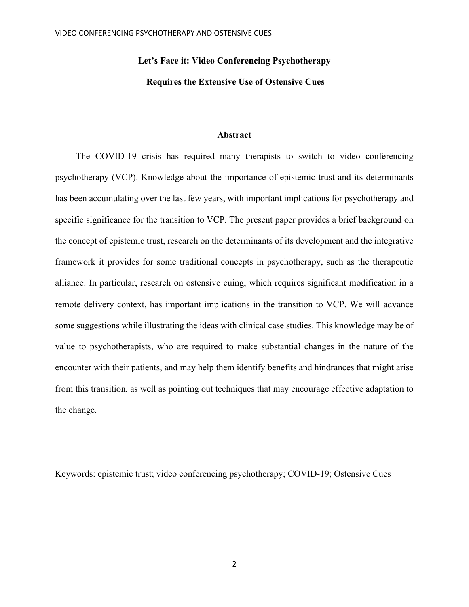# **Let's Face it: Video Conferencing Psychotherapy**

## **Requires the Extensive Use of Ostensive Cues**

# **Abstract**

The COVID-19 crisis has required many therapists to switch to video conferencing psychotherapy (VCP). Knowledge about the importance of epistemic trust and its determinants has been accumulating over the last few years, with important implications for psychotherapy and specific significance for the transition to VCP. The present paper provides a brief background on the concept of epistemic trust, research on the determinants of its development and the integrative framework it provides for some traditional concepts in psychotherapy, such as the therapeutic alliance. In particular, research on ostensive cuing, which requires significant modification in a remote delivery context, has important implications in the transition to VCP. We will advance some suggestions while illustrating the ideas with clinical case studies. This knowledge may be of value to psychotherapists, who are required to make substantial changes in the nature of the encounter with their patients, and may help them identify benefits and hindrances that might arise from this transition, as well as pointing out techniques that may encourage effective adaptation to the change.

Keywords: epistemic trust; video conferencing psychotherapy; COVID-19; Ostensive Cues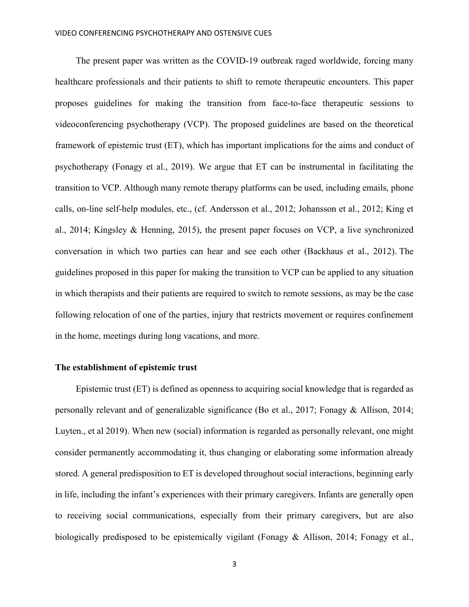The present paper was written as the COVID-19 outbreak raged worldwide, forcing many healthcare professionals and their patients to shift to remote therapeutic encounters. This paper proposes guidelines for making the transition from face-to-face therapeutic sessions to videoconferencing psychotherapy (VCP). The proposed guidelines are based on the theoretical framework of epistemic trust (ET), which has important implications for the aims and conduct of psychotherapy (Fonagy et al., 2019). We argue that ET can be instrumental in facilitating the transition to VCP. Although many remote therapy platforms can be used, including emails, phone calls, on-line self-help modules, etc., (cf. Andersson et al., 2012; Johansson et al., 2012; King et al., 2014; Kingsley & Henning, 2015), the present paper focuses on VCP, a live synchronized conversation in which two parties can hear and see each other (Backhaus et al., 2012). The guidelines proposed in this paper for making the transition to VCP can be applied to any situation in which therapists and their patients are required to switch to remote sessions, as may be the case following relocation of one of the parties, injury that restricts movement or requires confinement in the home, meetings during long vacations, and more.

# **The establishment of epistemic trust**

Epistemic trust (ET) is defined as openness to acquiring social knowledge that is regarded as personally relevant and of generalizable significance (Bo et al., 2017; Fonagy & Allison, 2014; Luyten., et al 2019). When new (social) information is regarded as personally relevant, one might consider permanently accommodating it, thus changing or elaborating some information already stored. A general predisposition to ET is developed throughout social interactions, beginning early in life, including the infant's experiences with their primary caregivers. Infants are generally open to receiving social communications, especially from their primary caregivers, but are also biologically predisposed to be epistemically vigilant (Fonagy & Allison, 2014; Fonagy et al.,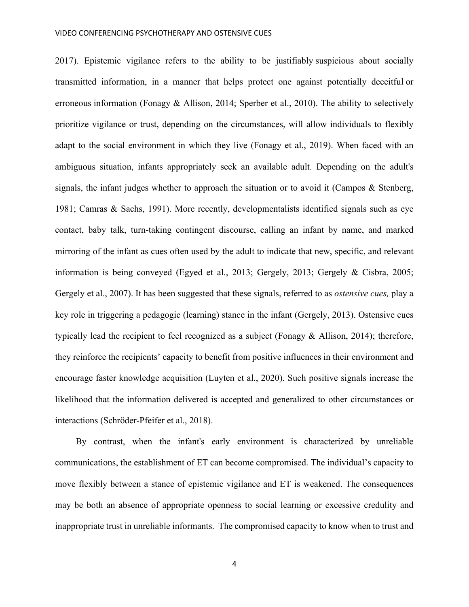2017). Epistemic vigilance refers to the ability to be justifiably suspicious about socially transmitted information, in a manner that helps protect one against potentially deceitful or erroneous information (Fonagy & Allison, 2014; Sperber et al., 2010). The ability to selectively prioritize vigilance or trust, depending on the circumstances, will allow individuals to flexibly adapt to the social environment in which they live (Fonagy et al., 2019). When faced with an ambiguous situation, infants appropriately seek an available adult. Depending on the adult's signals, the infant judges whether to approach the situation or to avoid it (Campos & Stenberg, 1981; Camras & Sachs, 1991). More recently, developmentalists identified signals such as eye contact, baby talk, turn-taking contingent discourse, calling an infant by name, and marked mirroring of the infant as cues often used by the adult to indicate that new, specific, and relevant information is being conveyed (Egyed et al., 2013; Gergely, 2013; Gergely & Cisbra, 2005; Gergely et al., 2007). It has been suggested that these signals, referred to as *ostensive cues,* play a key role in triggering a pedagogic (learning) stance in the infant (Gergely, 2013). Ostensive cues typically lead the recipient to feel recognized as a subject (Fonagy & Allison, 2014); therefore, they reinforce the recipients' capacity to benefit from positive influences in their environment and encourage faster knowledge acquisition (Luyten et al., 2020). Such positive signals increase the likelihood that the information delivered is accepted and generalized to other circumstances or interactions (Schröder-Pfeifer et al., 2018).

By contrast, when the infant's early environment is characterized by unreliable communications, the establishment of ET can become compromised. The individual's capacity to move flexibly between a stance of epistemic vigilance and ET is weakened. The consequences may be both an absence of appropriate openness to social learning or excessive credulity and inappropriate trust in unreliable informants. The compromised capacity to know when to trust and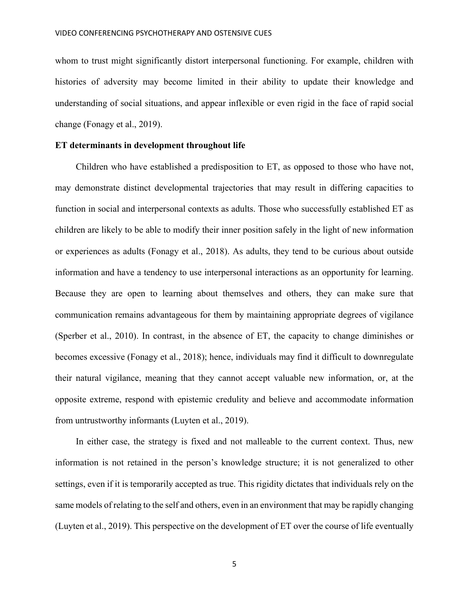whom to trust might significantly distort interpersonal functioning. For example, children with histories of adversity may become limited in their ability to update their knowledge and understanding of social situations, and appear inflexible or even rigid in the face of rapid social change (Fonagy et al., 2019).

# **ET determinants in development throughout life**

Children who have established a predisposition to ET, as opposed to those who have not, may demonstrate distinct developmental trajectories that may result in differing capacities to function in social and interpersonal contexts as adults. Those who successfully established ET as children are likely to be able to modify their inner position safely in the light of new information or experiences as adults (Fonagy et al., 2018). As adults, they tend to be curious about outside information and have a tendency to use interpersonal interactions as an opportunity for learning. Because they are open to learning about themselves and others, they can make sure that communication remains advantageous for them by maintaining appropriate degrees of vigilance (Sperber et al., 2010). In contrast, in the absence of ET, the capacity to change diminishes or becomes excessive (Fonagy et al., 2018); hence, individuals may find it difficult to downregulate their natural vigilance, meaning that they cannot accept valuable new information, or, at the opposite extreme, respond with epistemic credulity and believe and accommodate information from untrustworthy informants (Luyten et al., 2019).

In either case, the strategy is fixed and not malleable to the current context. Thus, new information is not retained in the person's knowledge structure; it is not generalized to other settings, even if it is temporarily accepted as true. This rigidity dictates that individuals rely on the same models of relating to the self and others, even in an environment that may be rapidly changing (Luyten et al., 2019). This perspective on the development of ET over the course of life eventually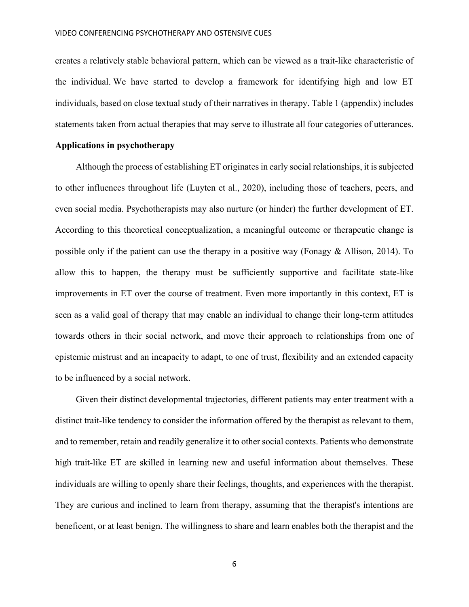creates a relatively stable behavioral pattern, which can be viewed as a trait-like characteristic of the individual. We have started to develop a framework for identifying high and low ET individuals, based on close textual study of their narratives in therapy. Table 1 (appendix) includes statements taken from actual therapies that may serve to illustrate all four categories of utterances.

### **Applications in psychotherapy**

Although the process of establishing ET originates in early social relationships, it is subjected to other influences throughout life (Luyten et al., 2020), including those of teachers, peers, and even social media. Psychotherapists may also nurture (or hinder) the further development of ET. According to this theoretical conceptualization, a meaningful outcome or therapeutic change is possible only if the patient can use the therapy in a positive way (Fonagy & Allison, 2014). To allow this to happen, the therapy must be sufficiently supportive and facilitate state-like improvements in ET over the course of treatment. Even more importantly in this context, ET is seen as a valid goal of therapy that may enable an individual to change their long-term attitudes towards others in their social network, and move their approach to relationships from one of epistemic mistrust and an incapacity to adapt, to one of trust, flexibility and an extended capacity to be influenced by a social network.

Given their distinct developmental trajectories, different patients may enter treatment with a distinct trait-like tendency to consider the information offered by the therapist as relevant to them, and to remember, retain and readily generalize it to other social contexts. Patients who demonstrate high trait-like ET are skilled in learning new and useful information about themselves. These individuals are willing to openly share their feelings, thoughts, and experiences with the therapist. They are curious and inclined to learn from therapy, assuming that the therapist's intentions are beneficent, or at least benign. The willingness to share and learn enables both the therapist and the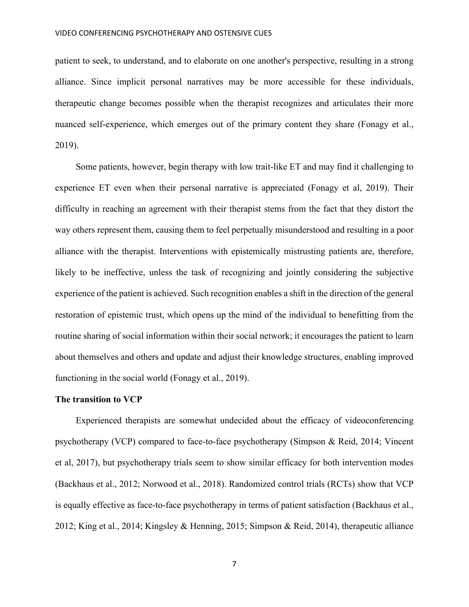patient to seek, to understand, and to elaborate on one another's perspective, resulting in a strong alliance. Since implicit personal narratives may be more accessible for these individuals, therapeutic change becomes possible when the therapist recognizes and articulates their more nuanced self-experience, which emerges out of the primary content they share (Fonagy et al., 2019).

Some patients, however, begin therapy with low trait-like ET and may find it challenging to experience ET even when their personal narrative is appreciated (Fonagy et al, 2019). Their difficulty in reaching an agreement with their therapist stems from the fact that they distort the way others represent them, causing them to feel perpetually misunderstood and resulting in a poor alliance with the therapist. Interventions with epistemically mistrusting patients are, therefore, likely to be ineffective, unless the task of recognizing and jointly considering the subjective experience of the patient is achieved. Such recognition enables a shift in the direction of the general restoration of epistemic trust, which opens up the mind of the individual to benefitting from the routine sharing of social information within their social network; it encourages the patient to learn about themselves and others and update and adjust their knowledge structures, enabling improved functioning in the social world (Fonagy et al., 2019).

#### **The transition to VCP**

Experienced therapists are somewhat undecided about the efficacy of videoconferencing psychotherapy (VCP) compared to face-to-face psychotherapy (Simpson & Reid, 2014; Vincent et al, 2017), but psychotherapy trials seem to show similar efficacy for both intervention modes (Backhaus et al., 2012; Norwood et al., 2018). Randomized control trials (RCTs) show that VCP is equally effective as face-to-face psychotherapy in terms of patient satisfaction (Backhaus et al., 2012; King et al., 2014; Kingsley & Henning, 2015; Simpson & Reid, 2014), therapeutic alliance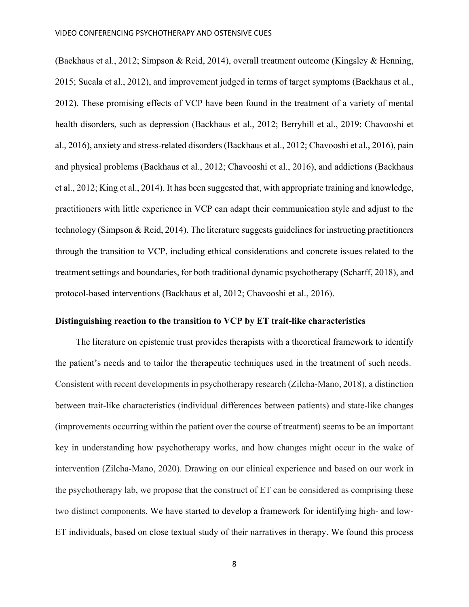(Backhaus et al., 2012; Simpson & Reid, 2014), overall treatment outcome (Kingsley & Henning, 2015; Sucala et al., 2012), and improvement judged in terms of target symptoms (Backhaus et al., 2012). These promising effects of VCP have been found in the treatment of a variety of mental health disorders, such as depression (Backhaus et al., 2012; Berryhill et al., 2019; Chavooshi et al., 2016), anxiety and stress-related disorders (Backhaus et al., 2012; Chavooshi et al., 2016), pain and physical problems (Backhaus et al., 2012; Chavooshi et al., 2016), and addictions (Backhaus et al., 2012; King et al., 2014). It has been suggested that, with appropriate training and knowledge, practitioners with little experience in VCP can adapt their communication style and adjust to the technology (Simpson & Reid, 2014). The literature suggests guidelines for instructing practitioners through the transition to VCP, including ethical considerations and concrete issues related to the treatment settings and boundaries, for both traditional dynamic psychotherapy (Scharff, 2018), and protocol-based interventions (Backhaus et al, 2012; Chavooshi et al., 2016).

# **Distinguishing reaction to the transition to VCP by ET trait-like characteristics**

The literature on epistemic trust provides therapists with a theoretical framework to identify the patient's needs and to tailor the therapeutic techniques used in the treatment of such needs. Consistent with recent developments in psychotherapy research (Zilcha-Mano, 2018), a distinction between trait-like characteristics (individual differences between patients) and state-like changes (improvements occurring within the patient over the course of treatment) seems to be an important key in understanding how psychotherapy works, and how changes might occur in the wake of intervention (Zilcha-Mano, 2020). Drawing on our clinical experience and based on our work in the psychotherapy lab, we propose that the construct of ET can be considered as comprising these two distinct components. We have started to develop a framework for identifying high- and low-ET individuals, based on close textual study of their narratives in therapy. We found this process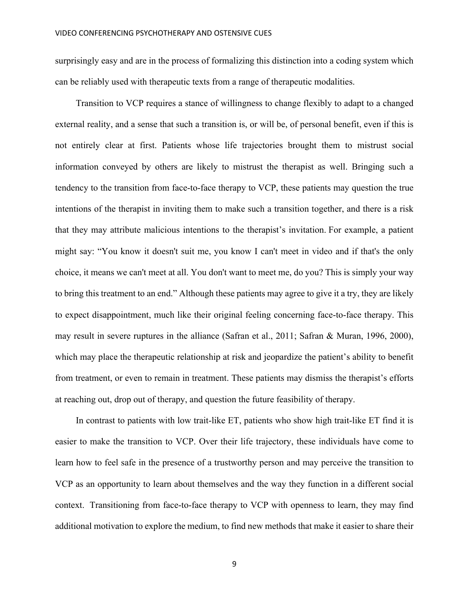surprisingly easy and are in the process of formalizing this distinction into a coding system which can be reliably used with therapeutic texts from a range of therapeutic modalities.

Transition to VCP requires a stance of willingness to change flexibly to adapt to a changed external reality, and a sense that such a transition is, or will be, of personal benefit, even if this is not entirely clear at first. Patients whose life trajectories brought them to mistrust social information conveyed by others are likely to mistrust the therapist as well. Bringing such a tendency to the transition from face-to-face therapy to VCP, these patients may question the true intentions of the therapist in inviting them to make such a transition together, and there is a risk that they may attribute malicious intentions to the therapist's invitation. For example, a patient might say: "You know it doesn't suit me, you know I can't meet in video and if that's the only choice, it means we can't meet at all. You don't want to meet me, do you? This is simply your way to bring this treatment to an end." Although these patients may agree to give it a try, they are likely to expect disappointment, much like their original feeling concerning face-to-face therapy. This may result in severe ruptures in the alliance (Safran et al., 2011; Safran & Muran, 1996, 2000), which may place the therapeutic relationship at risk and jeopardize the patient's ability to benefit from treatment, or even to remain in treatment. These patients may dismiss the therapist's efforts at reaching out, drop out of therapy, and question the future feasibility of therapy.

In contrast to patients with low trait-like ET, patients who show high trait-like ET find it is easier to make the transition to VCP. Over their life trajectory, these individuals have come to learn how to feel safe in the presence of a trustworthy person and may perceive the transition to VCP as an opportunity to learn about themselves and the way they function in a different social context. Transitioning from face-to-face therapy to VCP with openness to learn, they may find additional motivation to explore the medium, to find new methods that make it easier to share their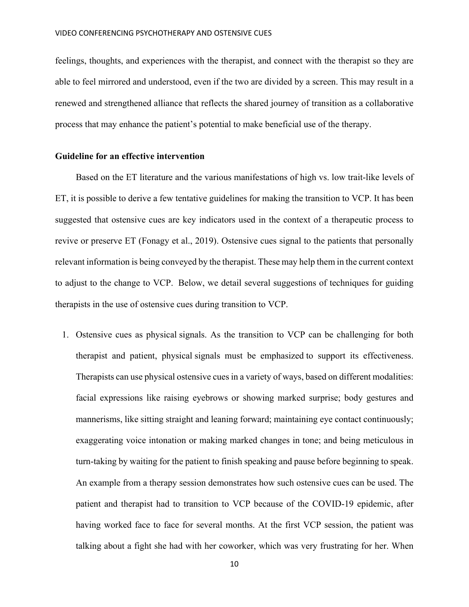feelings, thoughts, and experiences with the therapist, and connect with the therapist so they are able to feel mirrored and understood, even if the two are divided by a screen. This may result in a renewed and strengthened alliance that reflects the shared journey of transition as a collaborative process that may enhance the patient's potential to make beneficial use of the therapy.

# **Guideline for an effective intervention**

Based on the ET literature and the various manifestations of high vs. low trait-like levels of ET, it is possible to derive a few tentative guidelines for making the transition to VCP. It has been suggested that ostensive cues are key indicators used in the context of a therapeutic process to revive or preserve ET (Fonagy et al., 2019). Ostensive cues signal to the patients that personally relevant information is being conveyed by the therapist. These may help them in the current context to adjust to the change to VCP. Below, we detail several suggestions of techniques for guiding therapists in the use of ostensive cues during transition to VCP.

1. Ostensive cues as physical signals. As the transition to VCP can be challenging for both therapist and patient, physical signals must be emphasized to support its effectiveness. Therapists can use physical ostensive cues in a variety of ways, based on different modalities: facial expressions like raising eyebrows or showing marked surprise; body gestures and mannerisms, like sitting straight and leaning forward; maintaining eye contact continuously; exaggerating voice intonation or making marked changes in tone; and being meticulous in turn-taking by waiting for the patient to finish speaking and pause before beginning to speak. An example from a therapy session demonstrates how such ostensive cues can be used. The patient and therapist had to transition to VCP because of the COVID-19 epidemic, after having worked face to face for several months. At the first VCP session, the patient was talking about a fight she had with her coworker, which was very frustrating for her. When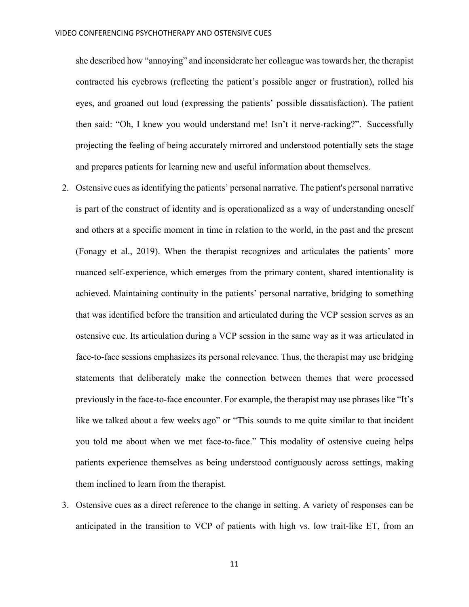she described how "annoying" and inconsiderate her colleague was towards her, the therapist contracted his eyebrows (reflecting the patient's possible anger or frustration), rolled his eyes, and groaned out loud (expressing the patients' possible dissatisfaction). The patient then said: "Oh, I knew you would understand me! Isn't it nerve-racking?". Successfully projecting the feeling of being accurately mirrored and understood potentially sets the stage and prepares patients for learning new and useful information about themselves.

- 2. Ostensive cues as identifying the patients' personal narrative. The patient's personal narrative is part of the construct of identity and is operationalized as a way of understanding oneself and others at a specific moment in time in relation to the world, in the past and the present (Fonagy et al., 2019). When the therapist recognizes and articulates the patients' more nuanced self-experience, which emerges from the primary content, shared intentionality is achieved. Maintaining continuity in the patients' personal narrative, bridging to something that was identified before the transition and articulated during the VCP session serves as an ostensive cue. Its articulation during a VCP session in the same way as it was articulated in face-to-face sessions emphasizes its personal relevance. Thus, the therapist may use bridging statements that deliberately make the connection between themes that were processed previously in the face-to-face encounter. For example, the therapist may use phrases like "It's like we talked about a few weeks ago" or "This sounds to me quite similar to that incident you told me about when we met face-to-face." This modality of ostensive cueing helps patients experience themselves as being understood contiguously across settings, making them inclined to learn from the therapist.
- 3. Ostensive cues as a direct reference to the change in setting. A variety of responses can be anticipated in the transition to VCP of patients with high vs. low trait-like ET, from an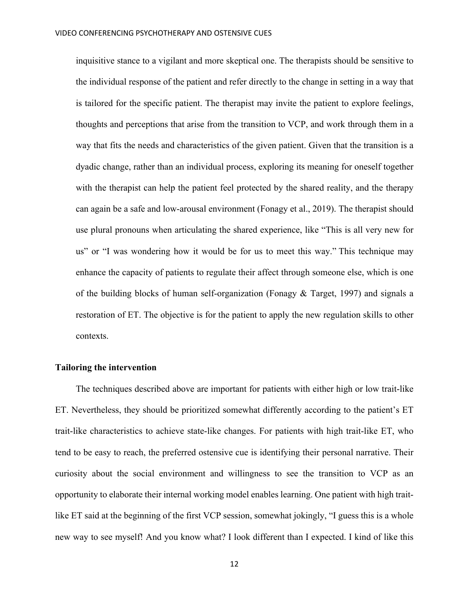inquisitive stance to a vigilant and more skeptical one. The therapists should be sensitive to the individual response of the patient and refer directly to the change in setting in a way that is tailored for the specific patient. The therapist may invite the patient to explore feelings, thoughts and perceptions that arise from the transition to VCP, and work through them in a way that fits the needs and characteristics of the given patient. Given that the transition is a dyadic change, rather than an individual process, exploring its meaning for oneself together with the therapist can help the patient feel protected by the shared reality, and the therapy can again be a safe and low-arousal environment (Fonagy et al., 2019). The therapist should use plural pronouns when articulating the shared experience, like "This is all very new for us" or "I was wondering how it would be for us to meet this way." This technique may enhance the capacity of patients to regulate their affect through someone else, which is one of the building blocks of human self-organization (Fonagy  $& Target, 1997$ ) and signals a restoration of ET. The objective is for the patient to apply the new regulation skills to other contexts.

## **Tailoring the intervention**

The techniques described above are important for patients with either high or low trait-like ET. Nevertheless, they should be prioritized somewhat differently according to the patient's ET trait-like characteristics to achieve state-like changes. For patients with high trait-like ET, who tend to be easy to reach, the preferred ostensive cue is identifying their personal narrative. Their curiosity about the social environment and willingness to see the transition to VCP as an opportunity to elaborate their internal working model enables learning. One patient with high traitlike ET said at the beginning of the first VCP session, somewhat jokingly, "I guess this is a whole new way to see myself! And you know what? I look different than I expected. I kind of like this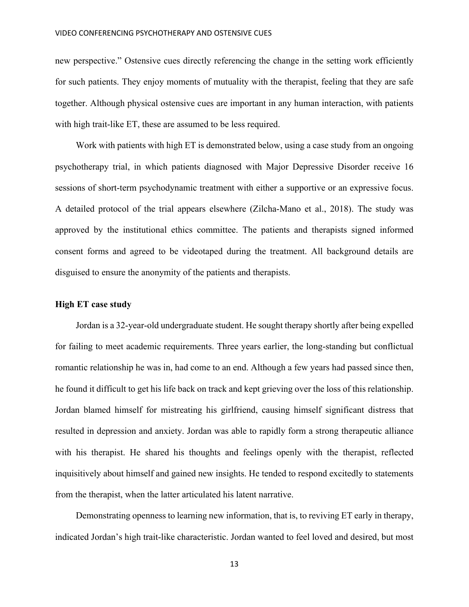new perspective." Ostensive cues directly referencing the change in the setting work efficiently for such patients. They enjoy moments of mutuality with the therapist, feeling that they are safe together. Although physical ostensive cues are important in any human interaction, with patients with high trait-like ET, these are assumed to be less required.

Work with patients with high ET is demonstrated below, using a case study from an ongoing psychotherapy trial, in which patients diagnosed with Major Depressive Disorder receive 16 sessions of short-term psychodynamic treatment with either a supportive or an expressive focus. A detailed protocol of the trial appears elsewhere (Zilcha-Mano et al., 2018). The study was approved by the institutional ethics committee. The patients and therapists signed informed consent forms and agreed to be videotaped during the treatment. All background details are disguised to ensure the anonymity of the patients and therapists.

#### **High ET case study**

Jordan is a 32-year-old undergraduate student. He sought therapy shortly after being expelled for failing to meet academic requirements. Three years earlier, the long-standing but conflictual romantic relationship he was in, had come to an end. Although a few years had passed since then, he found it difficult to get his life back on track and kept grieving over the loss of this relationship. Jordan blamed himself for mistreating his girlfriend, causing himself significant distress that resulted in depression and anxiety. Jordan was able to rapidly form a strong therapeutic alliance with his therapist. He shared his thoughts and feelings openly with the therapist, reflected inquisitively about himself and gained new insights. He tended to respond excitedly to statements from the therapist, when the latter articulated his latent narrative.

Demonstrating openness to learning new information, that is, to reviving ET early in therapy, indicated Jordan's high trait-like characteristic. Jordan wanted to feel loved and desired, but most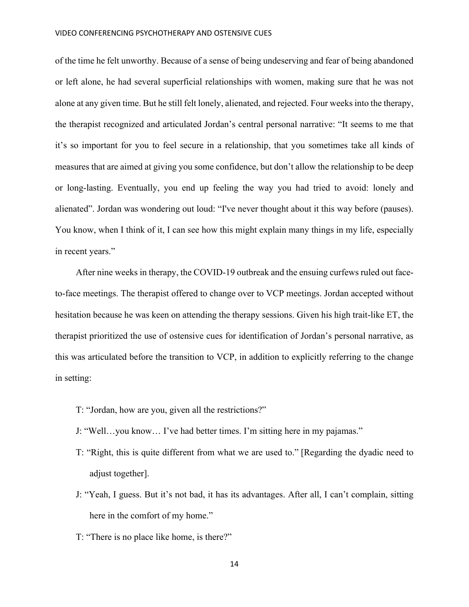of the time he felt unworthy. Because of a sense of being undeserving and fear of being abandoned or left alone, he had several superficial relationships with women, making sure that he was not alone at any given time. But he still felt lonely, alienated, and rejected. Four weeks into the therapy, the therapist recognized and articulated Jordan's central personal narrative: "It seems to me that it's so important for you to feel secure in a relationship, that you sometimes take all kinds of measures that are aimed at giving you some confidence, but don't allow the relationship to be deep or long-lasting. Eventually, you end up feeling the way you had tried to avoid: lonely and alienated". Jordan was wondering out loud: "I've never thought about it this way before (pauses). You know, when I think of it, I can see how this might explain many things in my life, especially in recent years."

After nine weeks in therapy, the COVID-19 outbreak and the ensuing curfews ruled out faceto-face meetings. The therapist offered to change over to VCP meetings. Jordan accepted without hesitation because he was keen on attending the therapy sessions. Given his high trait-like ET, the therapist prioritized the use of ostensive cues for identification of Jordan's personal narrative, as this was articulated before the transition to VCP, in addition to explicitly referring to the change in setting:

- T: "Jordan, how are you, given all the restrictions?"
- J: "Well…you know… I've had better times. I'm sitting here in my pajamas."
- T: "Right, this is quite different from what we are used to." [Regarding the dyadic need to adjust together].
- J: "Yeah, I guess. But it's not bad, it has its advantages. After all, I can't complain, sitting here in the comfort of my home."
- T: "There is no place like home, is there?"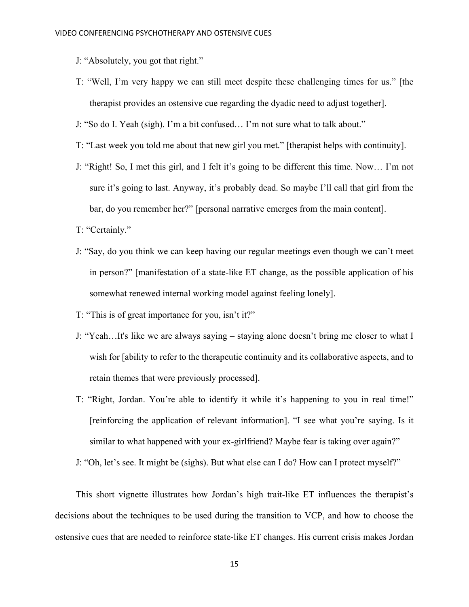- J: "Absolutely, you got that right."
- T: "Well, I'm very happy we can still meet despite these challenging times for us." [the therapist provides an ostensive cue regarding the dyadic need to adjust together].
- J: "So do I. Yeah (sigh). I'm a bit confused… I'm not sure what to talk about."
- T: "Last week you told me about that new girl you met." [therapist helps with continuity].
- J: "Right! So, I met this girl, and I felt it's going to be different this time. Now… I'm not sure it's going to last. Anyway, it's probably dead. So maybe I'll call that girl from the bar, do you remember her?" [personal narrative emerges from the main content].
- T: "Certainly."
- J: "Say, do you think we can keep having our regular meetings even though we can't meet in person?" [manifestation of a state-like ET change, as the possible application of his somewhat renewed internal working model against feeling lonely].
- T: "This is of great importance for you, isn't it?"
- J: "Yeah…It's like we are always saying staying alone doesn't bring me closer to what I wish for [ability to refer to the therapeutic continuity and its collaborative aspects, and to retain themes that were previously processed].
- T: "Right, Jordan. You're able to identify it while it's happening to you in real time!" [reinforcing the application of relevant information]. "I see what you're saying. Is it similar to what happened with your ex-girlfriend? Maybe fear is taking over again?"

J: "Oh, let's see. It might be (sighs). But what else can I do? How can I protect myself?"

This short vignette illustrates how Jordan's high trait-like ET influences the therapist's decisions about the techniques to be used during the transition to VCP, and how to choose the ostensive cues that are needed to reinforce state-like ET changes. His current crisis makes Jordan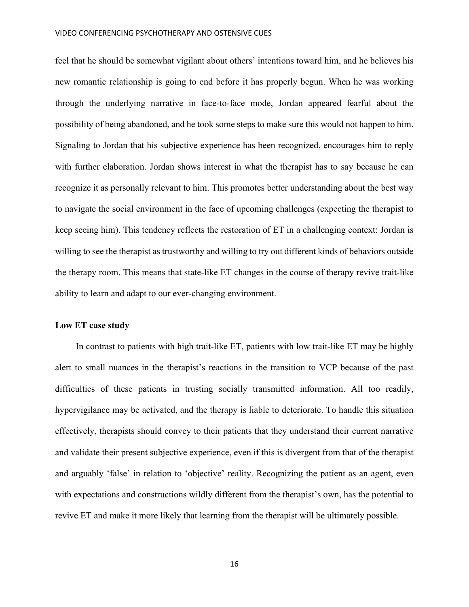#### VIDEO CONFERENCING PSYCHOTHERAPY AND OSTENSIVE CUES

feel that he should be somewhat vigilant about others' intentions toward him, and he believes his new romantic relationship is going to end before it has properly begun. When he was working through the underlying narrative in face-to-face mode, Jordan appeared fearful about the possibility of being abandoned, and he took some steps to make sure this would not happen to him. Signaling to Jordan that his subjective experience has been recognized, encourages him to reply with further elaboration. Jordan shows interest in what the therapist has to say because he can recognize it as personally relevant to him. This promotes better understanding about the best way to navigate the social environment in the face of upcoming challenges (expecting the therapist to keep seeing him). This tendency reflects the restoration of ET in a challenging context: Jordan is willing to see the therapist as trustworthy and willing to try out different kinds of behaviors outside the therapy room. This means that state-like ET changes in the course of therapy revive trait-like ability to learn and adapt to our ever-changing environment.

## **Low ET case study**

In contrast to patients with high trait-like ET, patients with low trait-like ET may be highly alert to small nuances in the therapist's reactions in the transition to VCP because of the past difficulties of these patients in trusting socially transmitted information. All too readily, hypervigilance may be activated, and the therapy is liable to deteriorate. To handle this situation effectively, therapists should convey to their patients that they understand their current narrative and validate their present subjective experience, even if this is divergent from that of the therapist and arguably 'false' in relation to 'objective' reality. Recognizing the patient as an agent, even with expectations and constructions wildly different from the therapist's own, has the potential to revive ET and make it more likely that learning from the therapist will be ultimately possible.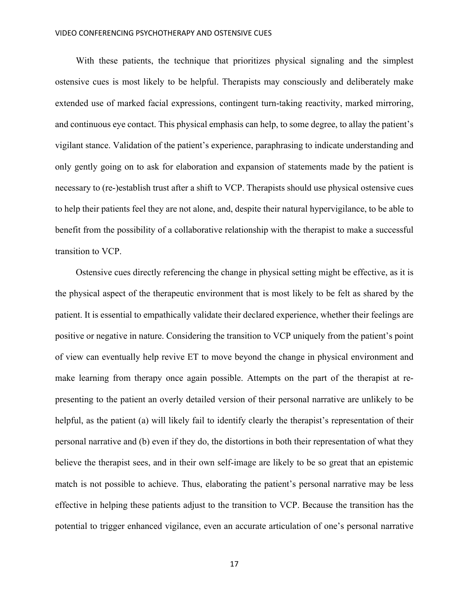#### VIDEO CONFERENCING PSYCHOTHERAPY AND OSTENSIVE CUES

With these patients, the technique that prioritizes physical signaling and the simplest ostensive cues is most likely to be helpful. Therapists may consciously and deliberately make extended use of marked facial expressions, contingent turn-taking reactivity, marked mirroring, and continuous eye contact. This physical emphasis can help, to some degree, to allay the patient's vigilant stance. Validation of the patient's experience, paraphrasing to indicate understanding and only gently going on to ask for elaboration and expansion of statements made by the patient is necessary to (re-)establish trust after a shift to VCP. Therapists should use physical ostensive cues to help their patients feel they are not alone, and, despite their natural hypervigilance, to be able to benefit from the possibility of a collaborative relationship with the therapist to make a successful transition to VCP.

Ostensive cues directly referencing the change in physical setting might be effective, as it is the physical aspect of the therapeutic environment that is most likely to be felt as shared by the patient. It is essential to empathically validate their declared experience, whether their feelings are positive or negative in nature. Considering the transition to VCP uniquely from the patient's point of view can eventually help revive ET to move beyond the change in physical environment and make learning from therapy once again possible. Attempts on the part of the therapist at representing to the patient an overly detailed version of their personal narrative are unlikely to be helpful, as the patient (a) will likely fail to identify clearly the therapist's representation of their personal narrative and (b) even if they do, the distortions in both their representation of what they believe the therapist sees, and in their own self-image are likely to be so great that an epistemic match is not possible to achieve. Thus, elaborating the patient's personal narrative may be less effective in helping these patients adjust to the transition to VCP. Because the transition has the potential to trigger enhanced vigilance, even an accurate articulation of one's personal narrative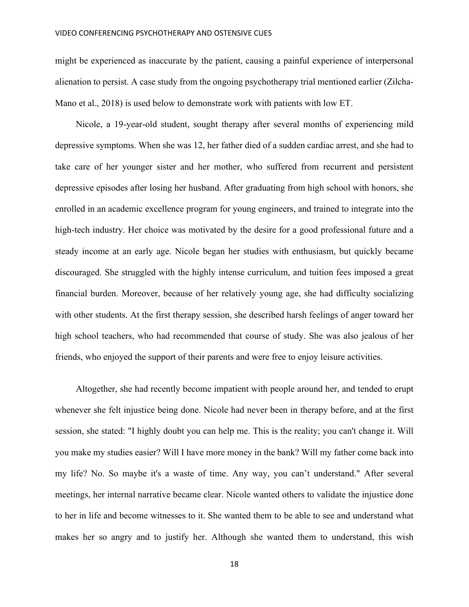might be experienced as inaccurate by the patient, causing a painful experience of interpersonal alienation to persist. A case study from the ongoing psychotherapy trial mentioned earlier (Zilcha-Mano et al., 2018) is used below to demonstrate work with patients with low ET.

Nicole, a 19-year-old student, sought therapy after several months of experiencing mild depressive symptoms. When she was 12, her father died of a sudden cardiac arrest, and she had to take care of her younger sister and her mother, who suffered from recurrent and persistent depressive episodes after losing her husband. After graduating from high school with honors, she enrolled in an academic excellence program for young engineers, and trained to integrate into the high-tech industry. Her choice was motivated by the desire for a good professional future and a steady income at an early age. Nicole began her studies with enthusiasm, but quickly became discouraged. She struggled with the highly intense curriculum, and tuition fees imposed a great financial burden. Moreover, because of her relatively young age, she had difficulty socializing with other students. At the first therapy session, she described harsh feelings of anger toward her high school teachers, who had recommended that course of study. She was also jealous of her friends, who enjoyed the support of their parents and were free to enjoy leisure activities.

Altogether, she had recently become impatient with people around her, and tended to erupt whenever she felt injustice being done. Nicole had never been in therapy before, and at the first session, she stated: "I highly doubt you can help me. This is the reality; you can't change it. Will you make my studies easier? Will I have more money in the bank? Will my father come back into my life? No. So maybe it's a waste of time. Any way, you can't understand." After several meetings, her internal narrative became clear. Nicole wanted others to validate the injustice done to her in life and become witnesses to it. She wanted them to be able to see and understand what makes her so angry and to justify her. Although she wanted them to understand, this wish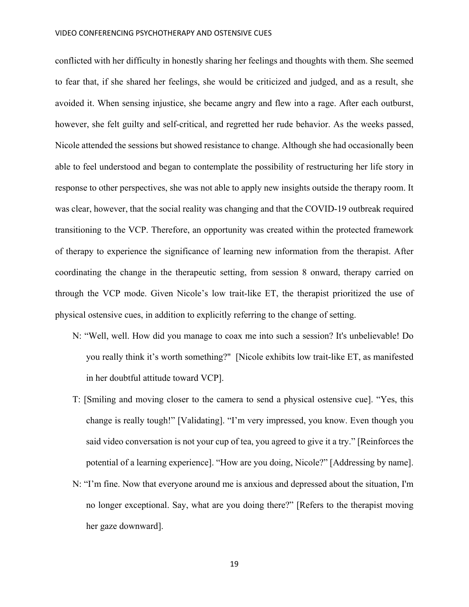#### VIDEO CONFERENCING PSYCHOTHERAPY AND OSTENSIVE CUES

conflicted with her difficulty in honestly sharing her feelings and thoughts with them. She seemed to fear that, if she shared her feelings, she would be criticized and judged, and as a result, she avoided it. When sensing injustice, she became angry and flew into a rage. After each outburst, however, she felt guilty and self-critical, and regretted her rude behavior. As the weeks passed, Nicole attended the sessions but showed resistance to change. Although she had occasionally been able to feel understood and began to contemplate the possibility of restructuring her life story in response to other perspectives, she was not able to apply new insights outside the therapy room. It was clear, however, that the social reality was changing and that the COVID-19 outbreak required transitioning to the VCP. Therefore, an opportunity was created within the protected framework of therapy to experience the significance of learning new information from the therapist. After coordinating the change in the therapeutic setting, from session 8 onward, therapy carried on through the VCP mode. Given Nicole's low trait-like ET, the therapist prioritized the use of physical ostensive cues, in addition to explicitly referring to the change of setting.

- N: "Well, well. How did you manage to coax me into such a session? It's unbelievable! Do you really think it's worth something?" [Nicole exhibits low trait-like ET, as manifested in her doubtful attitude toward VCP].
- T: [Smiling and moving closer to the camera to send a physical ostensive cue]. "Yes, this change is really tough!" [Validating]. "I'm very impressed, you know. Even though you said video conversation is not your cup of tea, you agreed to give it a try." [Reinforces the potential of a learning experience]. "How are you doing, Nicole?" [Addressing by name].
- N: "I'm fine. Now that everyone around me is anxious and depressed about the situation, I'm no longer exceptional. Say, what are you doing there?" [Refers to the therapist moving her gaze downward].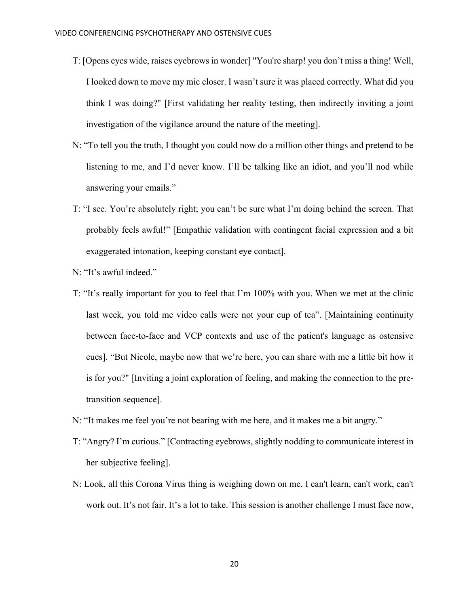- T: [Opens eyes wide, raises eyebrows in wonder] "You're sharp! you don't miss a thing! Well, I looked down to move my mic closer. I wasn't sure it was placed correctly. What did you think I was doing?" [First validating her reality testing, then indirectly inviting a joint investigation of the vigilance around the nature of the meeting].
- N: "To tell you the truth, I thought you could now do a million other things and pretend to be listening to me, and I'd never know. I'll be talking like an idiot, and you'll nod while answering your emails."
- T: "I see. You're absolutely right; you can't be sure what I'm doing behind the screen. That probably feels awful!" [Empathic validation with contingent facial expression and a bit exaggerated intonation, keeping constant eye contact].
- N: "It's awful indeed."
- T: "It's really important for you to feel that I'm 100% with you. When we met at the clinic last week, you told me video calls were not your cup of tea". [Maintaining continuity between face-to-face and VCP contexts and use of the patient's language as ostensive cues]. "But Nicole, maybe now that we're here, you can share with me a little bit how it is for you?" [Inviting a joint exploration of feeling, and making the connection to the pretransition sequence].
- N: "It makes me feel you're not bearing with me here, and it makes me a bit angry."
- T: "Angry? I'm curious." [Contracting eyebrows, slightly nodding to communicate interest in her subjective feeling].
- N: Look, all this Corona Virus thing is weighing down on me. I can't learn, can't work, can't work out. It's not fair. It's a lot to take. This session is another challenge I must face now,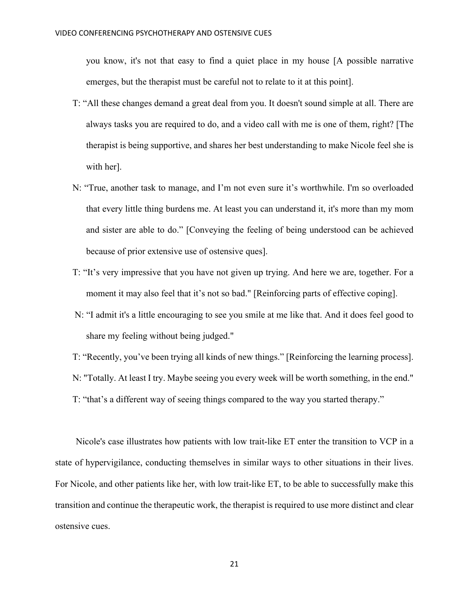you know, it's not that easy to find a quiet place in my house [A possible narrative emerges, but the therapist must be careful not to relate to it at this point].

- T: "All these changes demand a great deal from you. It doesn't sound simple at all. There are always tasks you are required to do, and a video call with me is one of them, right? [The therapist is being supportive, and shares her best understanding to make Nicole feel she is with her].
- N: "True, another task to manage, and I'm not even sure it's worthwhile. I'm so overloaded that every little thing burdens me. At least you can understand it, it's more than my mom and sister are able to do." [Conveying the feeling of being understood can be achieved because of prior extensive use of ostensive ques].
- T: "It's very impressive that you have not given up trying. And here we are, together. For a moment it may also feel that it's not so bad." [Reinforcing parts of effective coping].
- N: "I admit it's a little encouraging to see you smile at me like that. And it does feel good to share my feeling without being judged."
- T: "Recently, you've been trying all kinds of new things." [Reinforcing the learning process].

N: "Totally. At least I try. Maybe seeing you every week will be worth something, in the end."

T: "that's a different way of seeing things compared to the way you started therapy."

Nicole's case illustrates how patients with low trait-like ET enter the transition to VCP in a state of hypervigilance, conducting themselves in similar ways to other situations in their lives. For Nicole, and other patients like her, with low trait-like ET, to be able to successfully make this transition and continue the therapeutic work, the therapist is required to use more distinct and clear ostensive cues.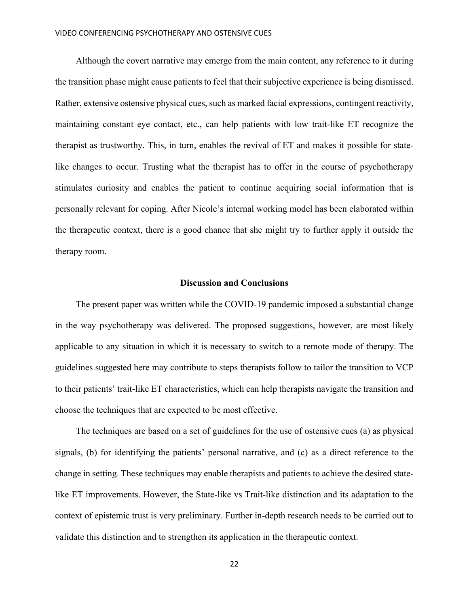Although the covert narrative may emerge from the main content, any reference to it during the transition phase might cause patients to feel that their subjective experience is being dismissed. Rather, extensive ostensive physical cues, such as marked facial expressions, contingent reactivity, maintaining constant eye contact, etc., can help patients with low trait-like ET recognize the therapist as trustworthy. This, in turn, enables the revival of ET and makes it possible for statelike changes to occur. Trusting what the therapist has to offer in the course of psychotherapy stimulates curiosity and enables the patient to continue acquiring social information that is personally relevant for coping. After Nicole's internal working model has been elaborated within the therapeutic context, there is a good chance that she might try to further apply it outside the therapy room.

## **Discussion and Conclusions**

The present paper was written while the COVID-19 pandemic imposed a substantial change in the way psychotherapy was delivered. The proposed suggestions, however, are most likely applicable to any situation in which it is necessary to switch to a remote mode of therapy. The guidelines suggested here may contribute to steps therapists follow to tailor the transition to VCP to their patients' trait-like ET characteristics, which can help therapists navigate the transition and choose the techniques that are expected to be most effective.

The techniques are based on a set of guidelines for the use of ostensive cues (a) as physical signals, (b) for identifying the patients' personal narrative, and (c) as a direct reference to the change in setting. These techniques may enable therapists and patients to achieve the desired statelike ET improvements. However, the State-like vs Trait-like distinction and its adaptation to the context of epistemic trust is very preliminary. Further in-depth research needs to be carried out to validate this distinction and to strengthen its application in the therapeutic context.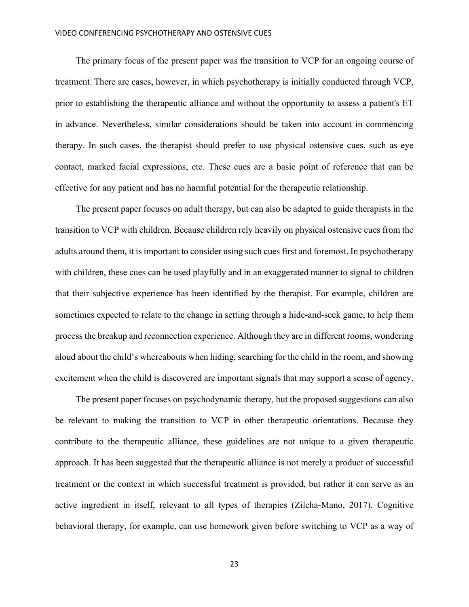#### VIDEO CONFERENCING PSYCHOTHERAPY AND OSTENSIVE CUES

The primary focus of the present paper was the transition to VCP for an ongoing course of treatment. There are cases, however, in which psychotherapy is initially conducted through VCP, prior to establishing the therapeutic alliance and without the opportunity to assess a patient's ET in advance. Nevertheless, similar considerations should be taken into account in commencing therapy. In such cases, the therapist should prefer to use physical ostensive cues, such as eye contact, marked facial expressions, etc. These cues are a basic point of reference that can be effective for any patient and has no harmful potential for the therapeutic relationship.

The present paper focuses on adult therapy, but can also be adapted to guide therapists in the transition to VCP with children. Because children rely heavily on physical ostensive cues from the adults around them, it is important to consider using such cues first and foremost. In psychotherapy with children, these cues can be used playfully and in an exaggerated manner to signal to children that their subjective experience has been identified by the therapist. For example, children are sometimes expected to relate to the change in setting through a hide-and-seek game, to help them process the breakup and reconnection experience. Although they are in different rooms, wondering aloud about the child's whereabouts when hiding, searching for the child in the room, and showing excitement when the child is discovered are important signals that may support a sense of agency.

The present paper focuses on psychodynamic therapy, but the proposed suggestions can also be relevant to making the transition to VCP in other therapeutic orientations. Because they contribute to the therapeutic alliance, these guidelines are not unique to a given therapeutic approach. It has been suggested that the therapeutic alliance is not merely a product of successful treatment or the context in which successful treatment is provided, but rather it can serve as an active ingredient in itself, relevant to all types of therapies (Zilcha-Mano, 2017). Cognitive behavioral therapy, for example, can use homework given before switching to VCP as a way of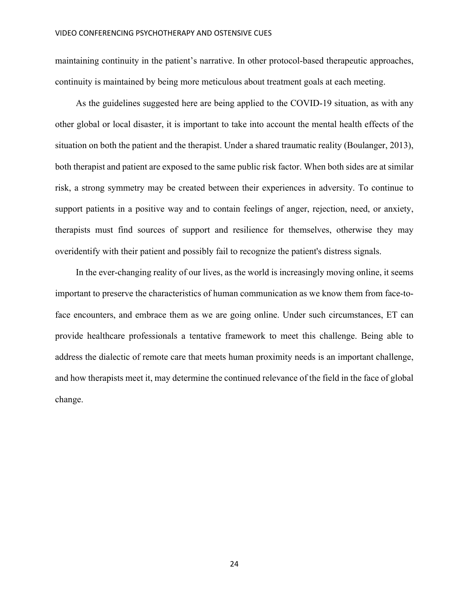maintaining continuity in the patient's narrative. In other protocol-based therapeutic approaches, continuity is maintained by being more meticulous about treatment goals at each meeting.

As the guidelines suggested here are being applied to the COVID-19 situation, as with any other global or local disaster, it is important to take into account the mental health effects of the situation on both the patient and the therapist. Under a shared traumatic reality (Boulanger, 2013), both therapist and patient are exposed to the same public risk factor. When both sides are at similar risk, a strong symmetry may be created between their experiences in adversity. To continue to support patients in a positive way and to contain feelings of anger, rejection, need, or anxiety, therapists must find sources of support and resilience for themselves, otherwise they may overidentify with their patient and possibly fail to recognize the patient's distress signals.

In the ever-changing reality of our lives, as the world is increasingly moving online, it seems important to preserve the characteristics of human communication as we know them from face-toface encounters, and embrace them as we are going online. Under such circumstances, ET can provide healthcare professionals a tentative framework to meet this challenge. Being able to address the dialectic of remote care that meets human proximity needs is an important challenge, and how therapists meet it, may determine the continued relevance of the field in the face of global change.

24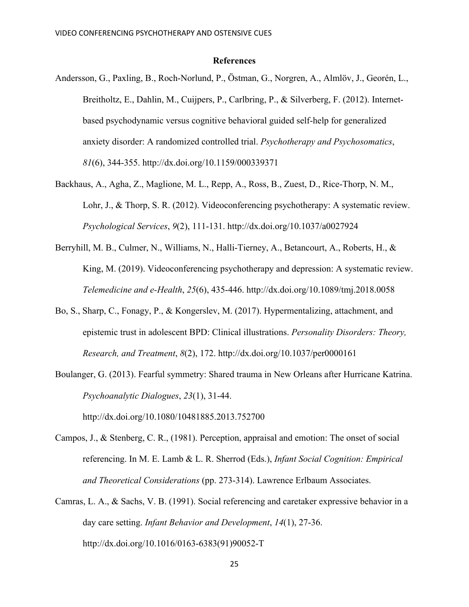# **References**

- Andersson, G., Paxling, B., Roch-Norlund, P., Östman, G., Norgren, A., Almlöv, J., Georén, L., Breitholtz, E., Dahlin, M., Cuijpers, P., Carlbring, P., & Silverberg, F. (2012). Internetbased psychodynamic versus cognitive behavioral guided self-help for generalized anxiety disorder: A randomized controlled trial. *Psychotherapy and Psychosomatics*, *81*(6), 344-355. http://dx.doi.org/10.1159/000339371
- Backhaus, A., Agha, Z., Maglione, M. L., Repp, A., Ross, B., Zuest, D., Rice-Thorp, N. M., Lohr, J., & Thorp, S. R. (2012). Videoconferencing psychotherapy: A systematic review. *Psychological Services*, *9*(2), 111-131. http://dx.doi.org/10.1037/a0027924
- Berryhill, M. B., Culmer, N., Williams, N., Halli-Tierney, A., Betancourt, A., Roberts, H., & King, M. (2019). Videoconferencing psychotherapy and depression: A systematic review. *Telemedicine and e-Health*, *25*(6), 435-446. http://dx.doi.org/10.1089/tmj.2018.0058
- Bo, S., Sharp, C., Fonagy, P., & Kongerslev, M. (2017). Hypermentalizing, attachment, and epistemic trust in adolescent BPD: Clinical illustrations. *Personality Disorders: Theory, Research, and Treatment*, *8*(2), 172. http://dx.doi.org/10.1037/per0000161
- Boulanger, G. (2013). Fearful symmetry: Shared trauma in New Orleans after Hurricane Katrina. *Psychoanalytic Dialogues*, *23*(1), 31-44.

http://dx.doi.org/10.1080/10481885.2013.752700

- Campos, J., & Stenberg, C. R., (1981). Perception, appraisal and emotion: The onset of social referencing. In M. E. Lamb & L. R. Sherrod (Eds.), *Infant Social Cognition: Empirical and Theoretical Considerations* (pp. 273-314). Lawrence Erlbaum Associates.
- Camras, L. A., & Sachs, V. B. (1991). Social referencing and caretaker expressive behavior in a day care setting. *Infant Behavior and Development*, *14*(1), 27-36. http://dx.doi.org/10.1016/0163-6383(91)90052-T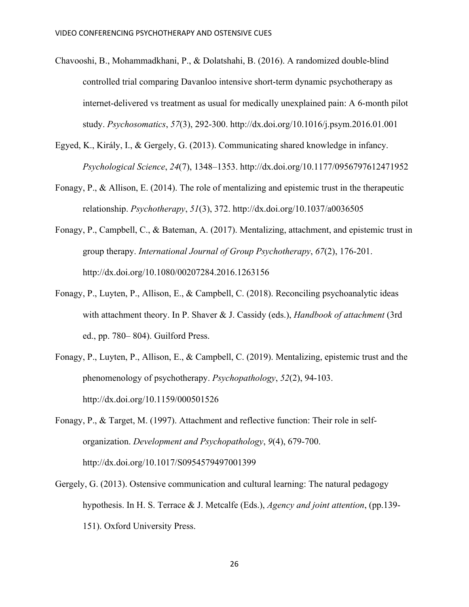- Chavooshi, B., Mohammadkhani, P., & Dolatshahi, B. (2016). A randomized double-blind controlled trial comparing Davanloo intensive short-term dynamic psychotherapy as internet-delivered vs treatment as usual for medically unexplained pain: A 6-month pilot study. *Psychosomatics*, *57*(3), 292-300. http://dx.doi.org/10.1016/j.psym.2016.01.001
- Egyed, K., Király, I., & Gergely, G. (2013). Communicating shared knowledge in infancy. *Psychological Science*, *24*(7), 1348–1353. http://dx.doi.org/10.1177/0956797612471952
- Fonagy, P., & Allison, E. (2014). The role of mentalizing and epistemic trust in the therapeutic relationship. *Psychotherapy*, *51*(3), 372. http://dx.doi.org/10.1037/a0036505
- Fonagy, P., Campbell, C., & Bateman, A. (2017). Mentalizing, attachment, and epistemic trust in group therapy. *International Journal of Group Psychotherapy*, *67*(2), 176-201. http://dx.doi.org/10.1080/00207284.2016.1263156
- Fonagy, P., Luyten, P., Allison, E., & Campbell, C. (2018). Reconciling psychoanalytic ideas with attachment theory. In P. Shaver & J. Cassidy (eds.), *Handbook of attachment* (3rd ed., pp. 780– 804). Guilford Press.
- Fonagy, P., Luyten, P., Allison, E., & Campbell, C. (2019). Mentalizing, epistemic trust and the phenomenology of psychotherapy. *Psychopathology*, *52*(2), 94-103. http://dx.doi.org/10.1159/000501526
- Fonagy, P., & Target, M. (1997). Attachment and reflective function: Their role in selforganization. *Development and Psychopathology*, *9*(4), 679-700. http://dx.doi.org/10.1017/S0954579497001399
- Gergely, G. (2013). Ostensive communication and cultural learning: The natural pedagogy hypothesis. In H. S. Terrace & J. Metcalfe (Eds.), *Agency and joint attention*, (pp.139- 151). Oxford University Press.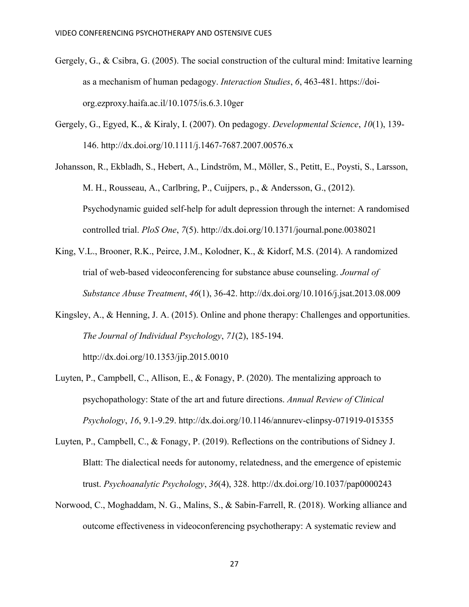- Gergely, G., & Csibra, G. (2005). The social construction of the cultural mind: Imitative learning as a mechanism of human pedagogy. *Interaction Studies*, *6*, 463-481. https://doiorg.ezproxy.haifa.ac.il/10.1075/is.6.3.10ger
- Gergely, G., Egyed, K., & Kiraly, I. (2007). On pedagogy. *Developmental Science*, *10*(1), 139- 146. http://dx.doi.org/10.1111/j.1467-7687.2007.00576.x
- Johansson, R., Ekbladh, S., Hebert, A., Lindström, M., Möller, S., Petitt, E., Poysti, S., Larsson, M. H., Rousseau, A., Carlbring, P., Cuijpers, p., & Andersson, G., (2012). Psychodynamic guided self-help for adult depression through the internet: A randomised controlled trial. *PloS One*, *7*(5). http://dx.doi.org/10.1371/journal.pone.0038021
- King, V.L., Brooner, R.K., Peirce, J.M., Kolodner, K., & Kidorf, M.S. (2014). A randomized trial of web-based videoconferencing for substance abuse counseling. *Journal of Substance Abuse Treatment*, *46*(1), 36-42. http://dx.doi.org/10.1016/j.jsat.2013.08.009
- Kingsley, A., & Henning, J. A. (2015). Online and phone therapy: Challenges and opportunities. *The Journal of Individual Psychology*, *71*(2), 185-194. http://dx.doi.org/10.1353/jip.2015.0010
- Luyten, P., Campbell, C., Allison, E., & Fonagy, P. (2020). The mentalizing approach to psychopathology: State of the art and future directions. *Annual Review of Clinical Psychology*, *16*, 9.1-9.29. http://dx.doi.org/10.1146/annurev-clinpsy-071919-015355
- Luyten, P., Campbell, C., & Fonagy, P. (2019). Reflections on the contributions of Sidney J. Blatt: The dialectical needs for autonomy, relatedness, and the emergence of epistemic trust. *Psychoanalytic Psychology*, *36*(4), 328. http://dx.doi.org/10.1037/pap0000243
- Norwood, C., Moghaddam, N. G., Malins, S., & Sabin‐Farrell, R. (2018). Working alliance and outcome effectiveness in videoconferencing psychotherapy: A systematic review and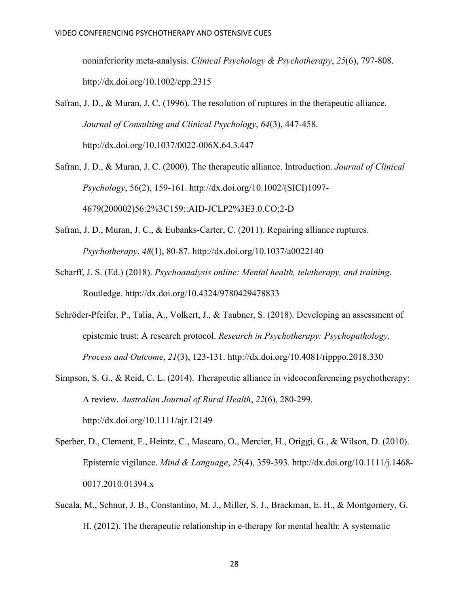noninferiority meta‐analysis. *Clinical Psychology & Psychotherapy*, *25*(6), 797-808. http://dx.doi.org/10.1002/cpp.2315

Safran, J. D., & Muran, J. C. (1996). The resolution of ruptures in the therapeutic alliance. *Journal of Consulting and Clinical Psychology*, *64*(3), 447-458. http://dx.doi.org/10.1037/0022-006X.64.3.447

- Safran, J. D., & Muran, J. C. (2000). The therapeutic alliance. Introduction. *Journal of Clinical Psychology*, 56(2), 159-161. http://dx.doi.org/10.1002/(SICI)1097- 4679(200002)56:2%3C159::AID-JCLP2%3E3.0.CO;2-D
- Safran, J. D., Muran, J. C., & Eubanks-Carter, C. (2011). Repairing alliance ruptures. *Psychotherapy*, *48*(1), 80-87. http://dx.doi.org/10.1037/a0022140
- Scharff, J. S. (Ed.) (2018). *Psychoanalysis online: Mental health, teletherapy, and training*. Routledge. http://dx.doi.org/10.4324/9780429478833
- Schröder-Pfeifer, P., Talia, A., Volkert, J., & Taubner, S. (2018). Developing an assessment of epistemic trust: A research protocol. *Research in Psychotherapy: Psychopathology, Process and Outcome*, *21*(3), 123-131. http://dx.doi.org/10.4081/ripppo.2018.330
- Simpson, S. G., & Reid, C. L. (2014). Therapeutic alliance in videoconferencing psychotherapy: A review. *Australian Journal of Rural Health*, *22*(6), 280-299. http://dx.doi.org/10.1111/ajr.12149
- Sperber, D., Clement, F., Heintz, C., Mascaro, O., Mercier, H., Origgi, G., & Wilson, D. (2010). Epistemic vigilance. *Mind & Language*, *25*(4), 359-393. http://dx.doi.org/10.1111/j.1468- 0017.2010.01394.x
- Sucala, M., Schnur, J. B., Constantino, M. J., Miller, S. J., Brackman, E. H., & Montgomery, G. H. (2012). The therapeutic relationship in e-therapy for mental health: A systematic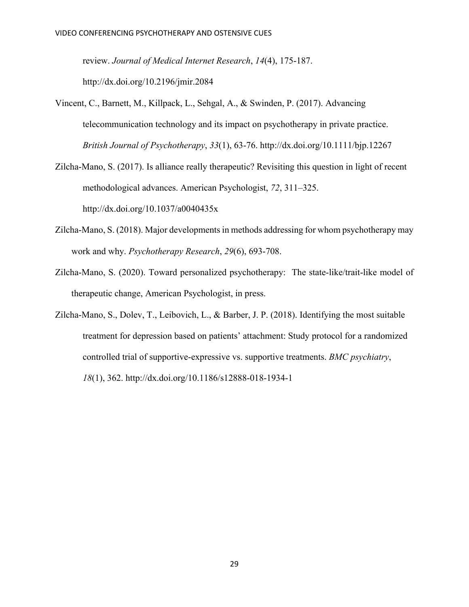review. *Journal of Medical Internet Research*, *14*(4), 175-187.

http://dx.doi.org/10.2196/jmir.2084

- Vincent, C., Barnett, M., Killpack, L., Sehgal, A., & Swinden, P. (2017). Advancing telecommunication technology and its impact on psychotherapy in private practice. *British Journal of Psychotherapy*, *33*(1), 63-76. http://dx.doi.org/10.1111/bjp.12267
- Zilcha-Mano, S. (2017). Is alliance really therapeutic? Revisiting this question in light of recent methodological advances. American Psychologist, *72*, 311–325. http://dx.doi.org/10.1037/a0040435x
- Zilcha-Mano, S. (2018). Major developments in methods addressing for whom psychotherapy may work and why. *Psychotherapy Research*, *29*(6), 693-708.
- Zilcha-Mano, S. (2020). Toward personalized psychotherapy: The state-like/trait-like model of therapeutic change, American Psychologist, in press.
- Zilcha-Mano, S., Dolev, T., Leibovich, L., & Barber, J. P. (2018). Identifying the most suitable treatment for depression based on patients' attachment: Study protocol for a randomized controlled trial of supportive-expressive vs. supportive treatments. *BMC psychiatry*, *18*(1), 362. http://dx.doi.org/10.1186/s12888-018-1934-1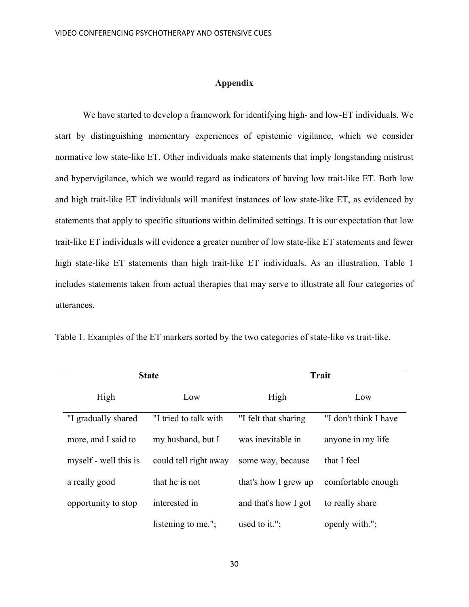## **Appendix**

We have started to develop a framework for identifying high- and low-ET individuals. We start by distinguishing momentary experiences of epistemic vigilance, which we consider normative low state-like ET. Other individuals make statements that imply longstanding mistrust and hypervigilance, which we would regard as indicators of having low trait-like ET. Both low and high trait-like ET individuals will manifest instances of low state-like ET, as evidenced by statements that apply to specific situations within delimited settings. It is our expectation that low trait-like ET individuals will evidence a greater number of low state-like ET statements and fewer high state-like ET statements than high trait-like ET individuals. As an illustration, Table 1 includes statements taken from actual therapies that may serve to illustrate all four categories of utterances.

| <b>State</b>          |                       | <b>Trait</b>         |                       |
|-----------------------|-----------------------|----------------------|-----------------------|
| High                  | Low                   | High                 | Low                   |
| "I gradually shared   | "I tried to talk with | "I felt that sharing | "I don't think I have |
| more, and I said to   | my husband, but I     | was inevitable in    | anyone in my life     |
| myself - well this is | could tell right away | some way, because    | that I feel           |
| a really good         | that he is not        | that's how I grew up | comfortable enough    |
| opportunity to stop   | interested in         | and that's how I got | to really share       |
|                       | listening to me.";    | used to it.";        | openly with.";        |

Table 1. Examples of the ET markers sorted by the two categories of state-like vs trait-like.